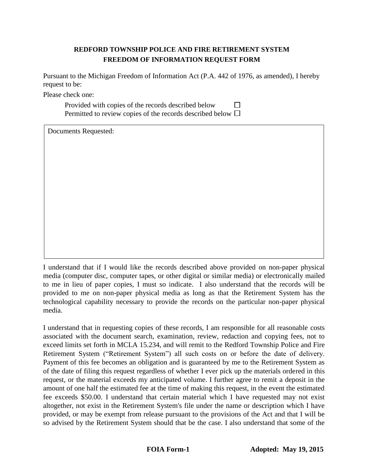# **REDFORD TOWNSHIP POLICE AND FIRE RETIREMENT SYSTEM FREEDOM OF INFORMATION REQUEST FORM**

Pursuant to the Michigan Freedom of Information Act (P.A. 442 of 1976, as amended), I hereby request to be:

Please check one:

Provided with copies of the records described below Permitted to review copies of the records described below  $\Box$ 

Documents Requested:

I understand that if I would like the records described above provided on non-paper physical media (computer disc, computer tapes, or other digital or similar media) or electronically mailed to me in lieu of paper copies, I must so indicate. I also understand that the records will be provided to me on non-paper physical media as long as that the Retirement System has the technological capability necessary to provide the records on the particular non-paper physical media.

I understand that in requesting copies of these records, I am responsible for all reasonable costs associated with the document search, examination, review, redaction and copying fees, not to exceed limits set forth in MCLA 15.234, and will remit to the Redford Township Police and Fire Retirement System ("Retirement System") all such costs on or before the date of delivery. Payment of this fee becomes an obligation and is guaranteed by me to the Retirement System as of the date of filing this request regardless of whether I ever pick up the materials ordered in this request, or the material exceeds my anticipated volume. I further agree to remit a deposit in the amount of one half the estimated fee at the time of making this request, in the event the estimated fee exceeds \$50.00. I understand that certain material which I have requested may not exist altogether, not exist in the Retirement System's file under the name or description which I have provided, or may be exempt from release pursuant to the provisions of the Act and that I will be so advised by the Retirement System should that be the case. I also understand that some of the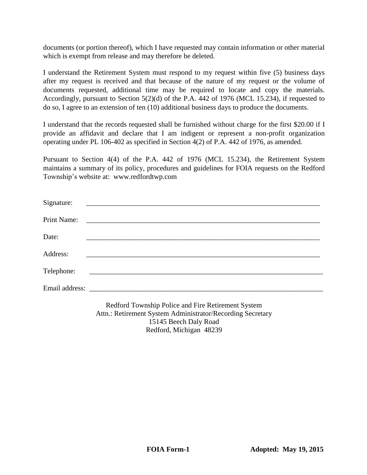documents (or portion thereof), which I have requested may contain information or other material which is exempt from release and may therefore be deleted.

I understand the Retirement System must respond to my request within five (5) business days after my request is received and that because of the nature of my request or the volume of documents requested, additional time may be required to locate and copy the materials. Accordingly, pursuant to Section 5(2)(d) of the P.A. 442 of 1976 (MCL 15.234), if requested to do so, I agree to an extension of ten (10) additional business days to produce the documents.

I understand that the records requested shall be furnished without charge for the first \$20.00 if I provide an affidavit and declare that I am indigent or represent a non-profit organization operating under PL 106-402 as specified in Section 4(2) of P.A. 442 of 1976, as amended.

Pursuant to Section 4(4) of the P.A. 442 of 1976 (MCL 15.234), the Retirement System maintains a summary of its policy, procedures and guidelines for FOIA requests on the Redford Township's website at: www.redfordtwp.com

| Signature:  |                                                                                                                       |
|-------------|-----------------------------------------------------------------------------------------------------------------------|
| Print Name: | <u> 1980 - Jan Barbara, margaretar amerikan basar dan berasal dalam basa dan berasal dan berasal dalam berasal da</u> |
| Date:       |                                                                                                                       |
| Address:    |                                                                                                                       |
| Telephone:  | <u> 1980 - Johann Barn, amerikansk politiker (d. 1980)</u>                                                            |
|             |                                                                                                                       |
|             | Redford Township Police and Fire Retirement System<br>Attn.: Retirement System Administrator/Recording Secretary      |

15145 Beech Daly Road Redford, Michigan 48239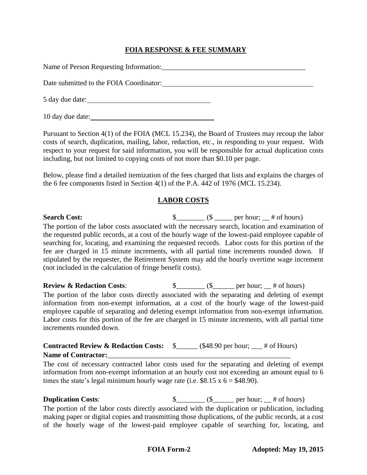### **FOIA RESPONSE & FEE SUMMARY**

| Date submitted to the FOIA Coordinator: |
|-----------------------------------------|
|                                         |
| 10 day due date:                        |

Pursuant to Section 4(1) of the FOIA (MCL 15.234), the Board of Trustees may recoup the labor costs of search, duplication, mailing, labor, redaction, etc., in responding to your request. With respect to your request for said information, you will be responsible for actual duplication costs including, but not limited to copying costs of not more than \$0.10 per page.

Below, please find a detailed itemization of the fees charged that lists and explains the charges of the 6 fee components listed in Section 4(1) of the P.A. 442 of 1976 (MCL 15.234).

### **LABOR COSTS**

### **Search Cost:**  $\qquad \qquad$   $\qquad \qquad$   $\qquad \qquad$   $\qquad \qquad$   $\qquad \qquad$   $\qquad \qquad$   $\qquad \qquad$   $\qquad \qquad$   $\qquad \qquad$   $\qquad \qquad$   $\qquad \qquad$   $\qquad \qquad$   $\qquad \qquad$   $\qquad \qquad$   $\qquad \qquad$   $\qquad \qquad$   $\qquad \qquad$   $\qquad \qquad$   $\qquad \qquad$   $\qquad \qquad$   $\qquad \qquad$   $\qquad \qquad$   $\qquad \qquad$  The portion of the labor costs associated with the necessary search, location and examination of the requested public records, at a cost of the hourly wage of the lowest-paid employee capable of searching for, locating, and examining the requested records. Labor costs for this portion of the fee are charged in 15 minute increments, with all partial time increments rounded down. If stipulated by the requester, the Retirement System may add the hourly overtime wage increment (not included in the calculation of fringe benefit costs).

**Review & Redaction Costs:**  $\qquad \qquad$  \$\_\_\_\_\_\_\_ (\$\_\_\_\_\_\_ per hour; \_\_ # of hours) The portion of the labor costs directly associated with the separating and deleting of exempt information from non-exempt information, at a cost of the hourly wage of the lowest-paid employee capable of separating and deleting exempt information from non-exempt information. Labor costs for this portion of the fee are charged in 15 minute increments, with all partial time increments rounded down.

### **Contracted Review & Redaction Costs:** \$\_\_\_\_\_\_ (\$48.90 per hour; \_\_\_ # of Hours) Name of Contractor:

The cost of necessary contracted labor costs used for the separating and deleting of exempt information from non-exempt information at an hourly cost not exceeding an amount equal to 6 times the state's legal minimum hourly wage rate (i.e.  $$8.15 \times 6 = $48.90$ ).

**Duplication Costs:**  $\qquad \qquad \S$  ( $\qquad \qquad$  ( $\S$  per hour;  $\qquad$  # of hours) The portion of the labor costs directly associated with the duplication or publication, including making paper or digital copies and transmitting those duplications, of the public records, at a cost of the hourly wage of the lowest-paid employee capable of searching for, locating, and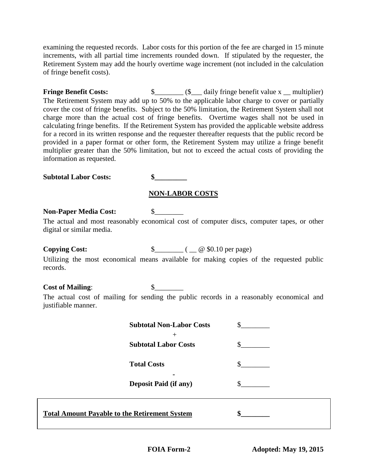examining the requested records. Labor costs for this portion of the fee are charged in 15 minute increments, with all partial time increments rounded down. If stipulated by the requester, the Retirement System may add the hourly overtime wage increment (not included in the calculation of fringe benefit costs).

**Fringe Benefit Costs:**  $\frac{\S_+ \S_+ \S_+ \S_-}{\S_- \S_- \S_-}$  daily fringe benefit value x \_\_ multiplier) The Retirement System may add up to 50% to the applicable labor charge to cover or partially cover the cost of fringe benefits. Subject to the 50% limitation, the Retirement System shall not charge more than the actual cost of fringe benefits. Overtime wages shall not be used in calculating fringe benefits. If the Retirement System has provided the applicable website address for a record in its written response and the requester thereafter requests that the public record be provided in a paper format or other form, the Retirement System may utilize a fringe benefit multiplier greater than the 50% limitation, but not to exceed the actual costs of providing the information as requested.

**Subtotal Labor Costs: \$\_\_\_\_\_\_\_\_\_**

### **NON-LABOR COSTS**

#### **Non-Paper Media Cost:** \$

The actual and most reasonably economical cost of computer discs, computer tapes, or other digital or similar media.

**Copying Cost:**  $\qquad \qquad \S$  (  $\qquad \qquad \emptyset$  \$0.10 per page)

Utilizing the most economical means available for making copies of the requested public records.

### **Cost of Mailing**: \$\_\_\_\_\_\_\_\_

The actual cost of mailing for sending the public records in a reasonably economical and justifiable manner.

| <b>Subtotal Non-Labor Costs</b> |  |
|---------------------------------|--|
| <b>Subtotal Labor Costs</b>     |  |
| <b>Total Costs</b>              |  |
| <b>Deposit Paid (if any)</b>    |  |

# **Total Amount Payable to the Retirement System \$\_\_\_\_\_\_\_\_**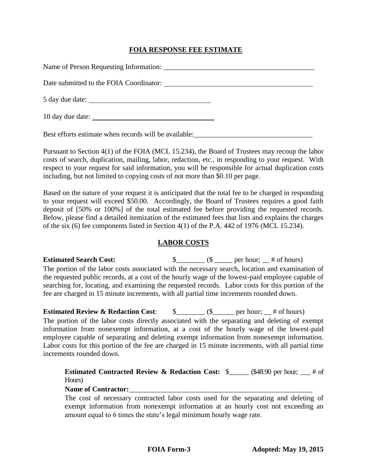#### **FOIA RESPONSE FEE ESTIMATE**

| Date submitted to the FOIA Coordinator: |
|-----------------------------------------|
|                                         |
| 10 day due date:                        |

Best efforts estimate when records will be available: \_\_\_\_\_\_\_\_\_\_\_\_\_\_\_\_\_\_\_\_\_\_\_\_\_\_

Pursuant to Section 4(1) of the FOIA (MCL 15.234), the Board of Trustees may recoup the labor costs of search, duplication, mailing, labor, redaction, etc., in responding to your request. With respect to your request for said information, you will be responsible for actual duplication costs including, but not limited to copying costs of not more than \$0.10 per page.

Based on the nature of your request it is anticipated that the total fee to be charged in responding to your request will exceed \$50.00. Accordingly, the Board of Trustees requires a good faith deposit of [50% or 100%] of the total estimated fee before providing the requested records. Below, please find a detailed itemization of the estimated fees that lists and explains the charges of the six (6) fee components listed in Section 4(1) of the P.A. 442 of 1976 (MCL 15.234).

#### **LABOR COSTS**

**Estimated Search Cost:**  $\qquad \qquad$  \$\_\_\_\_\_\_\_\_ (\$ \_\_\_\_\_ per hour; \_\_ # of hours) The portion of the labor costs associated with the necessary search, location and examination of the requested public records, at a cost of the hourly wage of the lowest-paid employee capable of searching for, locating, and examining the requested records. Labor costs for this portion of the fee are charged in 15 minute increments, with all partial time increments rounded down.

**Estimated Review & Redaction Cost:**  $\qquad \S$  \_\_\_\_\_\_\_ (\$\_\_\_\_\_\_ per hour; \_\_ # of hours) The portion of the labor costs directly associated with the separating and deleting of exempt information from nonexempt information, at a cost of the hourly wage of the lowest-paid employee capable of separating and deleting exempt information from nonexempt information. Labor costs for this portion of the fee are charged in 15 minute increments, with all partial time increments rounded down.

**Estimated Contracted Review & Redaction Cost:** \$\_\_\_\_\_\_ (\$48.90 per hour; \_\_\_ # of Hours)

#### Name of Contractor:

The cost of necessary contracted labor costs used for the separating and deleting of exempt information from nonexempt information at an hourly cost not exceeding an amount equal to 6 times the state's legal minimum hourly wage rate.